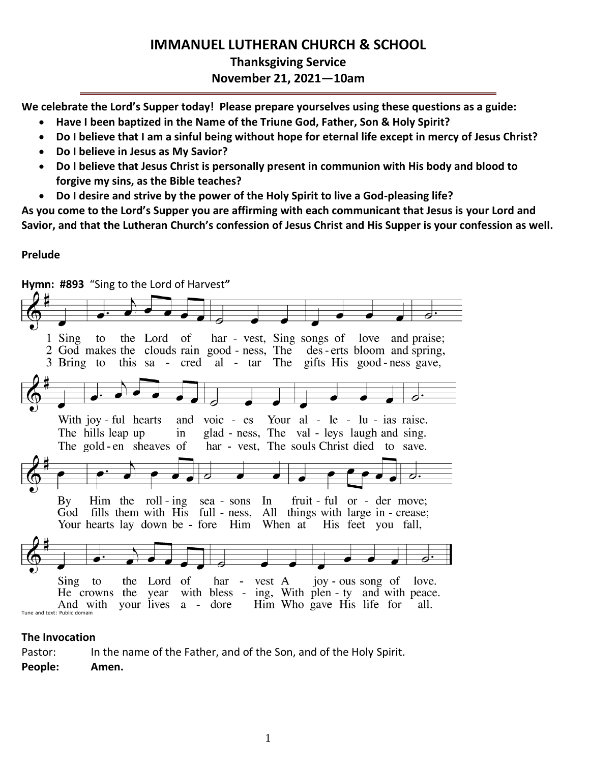# **IMMANUEL LUTHERAN CHURCH & SCHOOL Thanksgiving Service November 21, 2021—10am**

**We celebrate the Lord's Supper today! Please prepare yourselves using these questions as a guide:**

- **Have I been baptized in the Name of the Triune God, Father, Son & Holy Spirit?**
- **Do I believe that I am a sinful being without hope for eternal life except in mercy of Jesus Christ?**
- **Do I believe in Jesus as My Savior?**
- **Do I believe that Jesus Christ is personally present in communion with His body and blood to forgive my sins, as the Bible teaches?**
- **Do I desire and strive by the power of the Holy Spirit to live a God-pleasing life?**

**As you come to the Lord's Supper you are affirming with each communicant that Jesus is your Lord and Savior, and that the Lutheran Church's confession of Jesus Christ and His Supper is your confession as well.**

# **Prelude**

**Hymn: #893** "Sing to the Lord of Harvest**"**  $1$  Sing har - vest, Sing songs of love and praise; to the Lord of 2 God makes the clouds rain good - ness, The des - erts bloom and spring, 3 Bring to this sa - cred al - tar The gifts His good-ness gave, Your al - le - lu - ias raise. With joy - ful hearts and  $\overline{v}$  voic - es glad - ness, The val - leys laugh and sing. The hills leap up in The gold-en sheaves of har - vest, The souls Christ died to save. Him the roll-ing sea-sons In fruit - ful or - der move: By God fills them with His full - ness, All things with large in - crease; Your hearts lay down be - fore Him When at His feet you fall, Sing the Lord of har vest A joy - ous song of to love. He crowns the year with bless - ing, With plen - ty and with peace. And with your lives a dore Him Who gave His life for all. Tune and text: Public domain

## **The Invocation**

Pastor: In the name of the Father, and of the Son, and of the Holy Spirit.

**People: Amen.**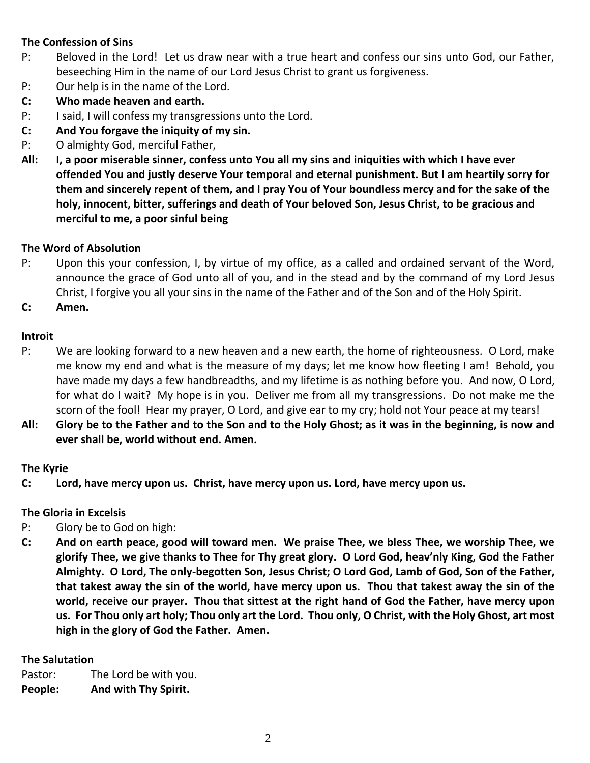# **The Confession of Sins**

- P: Beloved in the Lord! Let us draw near with a true heart and confess our sins unto God, our Father, beseeching Him in the name of our Lord Jesus Christ to grant us forgiveness.
- P: Our help is in the name of the Lord.
- **C: Who made heaven and earth.**
- P: I said, I will confess my transgressions unto the Lord.
- **C: And You forgave the iniquity of my sin.**
- P: O almighty God, merciful Father,
- **All: I, a poor miserable sinner, confess unto You all my sins and iniquities with which I have ever offended You and justly deserve Your temporal and eternal punishment. But I am heartily sorry for them and sincerely repent of them, and I pray You of Your boundless mercy and for the sake of the holy, innocent, bitter, sufferings and death of Your beloved Son, Jesus Christ, to be gracious and merciful to me, a poor sinful being**

## **The Word of Absolution**

- P: Upon this your confession, I, by virtue of my office, as a called and ordained servant of the Word, announce the grace of God unto all of you, and in the stead and by the command of my Lord Jesus Christ, I forgive you all your sins in the name of the Father and of the Son and of the Holy Spirit.
- **C: Amen.**

## **Introit**

- P: We are looking forward to a new heaven and a new earth, the home of righteousness. O Lord, make me know my end and what is the measure of my days; let me know how fleeting I am! Behold, you have made my days a few handbreadths, and my lifetime is as nothing before you. And now, O Lord, for what do I wait? My hope is in you. Deliver me from all my transgressions. Do not make me the scorn of the fool! Hear my prayer, O Lord, and give ear to my cry; hold not Your peace at my tears!
- **All: Glory be to the Father and to the Son and to the Holy Ghost; as it was in the beginning, is now and ever shall be, world without end. Amen.**

## **The Kyrie**

**C: Lord, have mercy upon us. Christ, have mercy upon us. Lord, have mercy upon us.**

## **The Gloria in Excelsis**

- P: Glory be to God on high:
- **C: And on earth peace, good will toward men. We praise Thee, we bless Thee, we worship Thee, we glorify Thee, we give thanks to Thee for Thy great glory. O Lord God, heav'nly King, God the Father Almighty. O Lord, The only-begotten Son, Jesus Christ; O Lord God, Lamb of God, Son of the Father, that takest away the sin of the world, have mercy upon us. Thou that takest away the sin of the world, receive our prayer. Thou that sittest at the right hand of God the Father, have mercy upon us. For Thou only art holy; Thou only art the Lord. Thou only, O Christ, with the Holy Ghost, art most high in the glory of God the Father. Amen.**

## **The Salutation**

Pastor: The Lord be with you. **People: And with Thy Spirit.**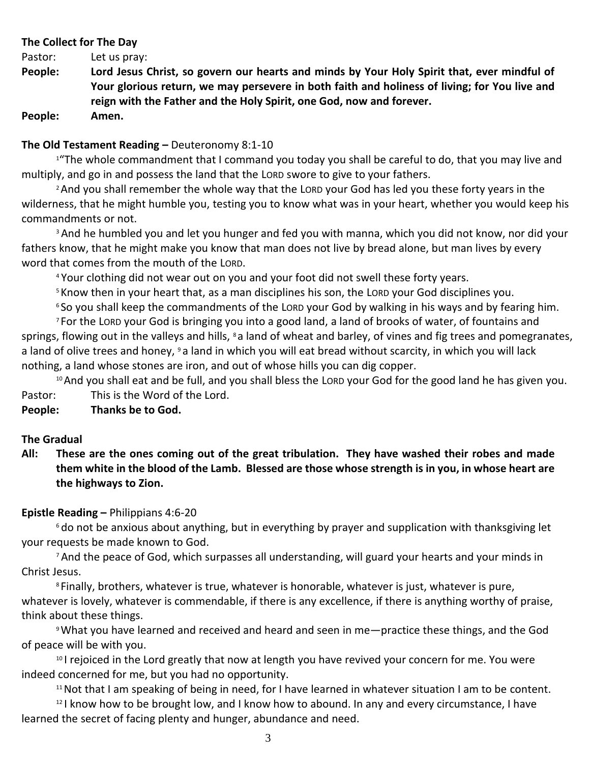## **The Collect for The Day**

Pastor: Let us pray:

**People: Lord Jesus Christ, so govern our hearts and minds by Your Holy Spirit that, ever mindful of Your glorious return, we may persevere in both faith and holiness of living; for You live and reign with the Father and the Holy Spirit, one God, now and forever.** 

**People: Amen.**

## **The Old Testament Reading –** Deuteronomy 8:1-10

<sup>1</sup> The whole commandment that I command you today you shall be careful to do, that you may live and multiply, and go in and possess the land that the LORD swore to give to your fathers.

<sup>2</sup> And you shall remember the whole way that the LORD your God has led you these forty years in the wilderness, that he might humble you, testing you to know what was in your heart, whether you would keep his commandments or not.

<sup>3</sup> And he humbled you and let you hunger and fed you with manna, which you did not know, nor did your fathers know, that he might make you know that man does not live by bread alone, but man lives by every word that comes from the mouth of the LORD.

<sup>4</sup> Your clothing did not wear out on you and your foot did not swell these forty years.

<sup>5</sup> Know then in your heart that, as a man disciplines his son, the LORD your God disciplines you.

<sup>6</sup> So you shall keep the commandments of the LORD your God by walking in his ways and by fearing him.

<sup>7</sup> For the LORD your God is bringing you into a good land, a land of brooks of water, of fountains and springs, flowing out in the valleys and hills, <sup>8</sup> a land of wheat and barley, of vines and fig trees and pomegranates, a land of olive trees and honey, <sup>9</sup> a land in which you will eat bread without scarcity, in which you will lack nothing, a land whose stones are iron, and out of whose hills you can dig copper.

<sup>10</sup> And you shall eat and be full, and you shall bless the LORD your God for the good land he has given you. Pastor: This is the Word of the Lord.

## **People: Thanks be to God.**

## **The Gradual**

**All: These are the ones coming out of the great tribulation. They have washed their robes and made them white in the blood of the Lamb. Blessed are those whose strength is in you, in whose heart are the highways to Zion.**

## **Epistle Reading –** Philippians 4:6-20

<sup>6</sup> do not be anxious about anything, but in everything by prayer and supplication with thanksgiving let your requests be made known to God.

<sup>7</sup> And the peace of God, which surpasses all understanding, will guard your hearts and your minds in Christ Jesus.

<sup>8</sup> Finally, brothers, whatever is true, whatever is honorable, whatever is just, whatever is pure, whatever is lovely, whatever is commendable, if there is any excellence, if there is anything worthy of praise, think about these things.

<sup>9</sup>What you have learned and received and heard and seen in me—practice these things, and the God of peace will be with you.

<sup>10</sup> I rejoiced in the Lord greatly that now at length you have revived your concern for me. You were indeed concerned for me, but you had no opportunity.

<sup>11</sup>Not that I am speaking of being in need, for I have learned in whatever situation I am to be content.

<sup>12</sup> I know how to be brought low, and I know how to abound. In any and every circumstance, I have learned the secret of facing plenty and hunger, abundance and need.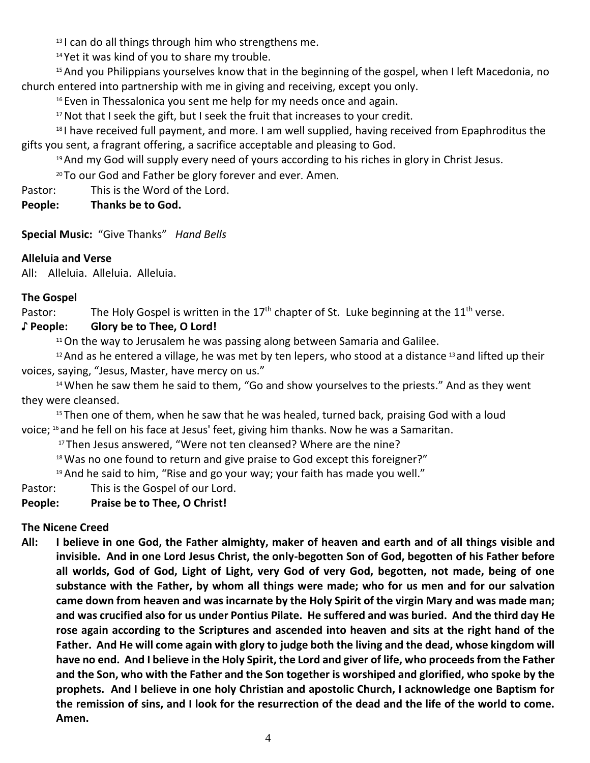<sup>13</sup> I can do all things through him who strengthens me.

<sup>14</sup> Yet it was kind of you to share my trouble.

<sup>15</sup> And you Philippians yourselves know that in the beginning of the gospel, when I left Macedonia, no church entered into partnership with me in giving and receiving, except you only.

<sup>16</sup> Even in Thessalonica you sent me help for my needs once and again.

<sup>17</sup> Not that I seek the gift, but I seek the fruit that increases to your credit.

<sup>18</sup> I have received full payment, and more. I am well supplied, having received from Epaphroditus the gifts you sent, a fragrant offering, a sacrifice acceptable and pleasing to God.

19 And my God will supply every need of yours according to his riches in glory in Christ Jesus.

<sup>20</sup> To our God and Father be glory forever and ever. Amen.

Pastor: This is the Word of the Lord.

**People: Thanks be to God.**

**Special Music:** "Give Thanks" *Hand Bells*

# **Alleluia and Verse**

All: Alleluia. Alleluia. Alleluia.

# **The Gospel**

Pastor: The Holy Gospel is written in the 17<sup>th</sup> chapter of St. Luke beginning at the 11<sup>th</sup> verse.

# **♪ People: Glory be to Thee, O Lord!**

 $11$ On the way to Jerusalem he was passing along between Samaria and Galilee.

 $12$  And as he entered a village, he was met by ten lepers, who stood at a distance  $13$  and lifted up their voices, saying, "Jesus, Master, have mercy on us."

<sup>14</sup> When he saw them he said to them, "Go and show yourselves to the priests." And as they went they were cleansed.

 $15$  Then one of them, when he saw that he was healed, turned back, praising God with a loud voice; <sup>16</sup> and he fell on his face at Jesus' feet, giving him thanks. Now he was a Samaritan.

<sup>17</sup> Then Jesus answered, "Were not ten cleansed? Where are the nine?

 $18$  Was no one found to return and give praise to God except this foreigner?"

 $19$  And he said to him, "Rise and go your way; your faith has made you well."

Pastor: This is the Gospel of our Lord.

# **People: Praise be to Thee, O Christ!**

# **The Nicene Creed**

**All: I believe in one God, the Father almighty, maker of heaven and earth and of all things visible and invisible. And in one Lord Jesus Christ, the only-begotten Son of God, begotten of his Father before all worlds, God of God, Light of Light, very God of very God, begotten, not made, being of one substance with the Father, by whom all things were made; who for us men and for our salvation came down from heaven and was incarnate by the Holy Spirit of the virgin Mary and was made man; and was crucified also for us under Pontius Pilate. He suffered and was buried. And the third day He rose again according to the Scriptures and ascended into heaven and sits at the right hand of the Father. And He will come again with glory to judge both the living and the dead, whose kingdom will have no end. And I believe in the Holy Spirit, the Lord and giver of life, who proceeds from the Father and the Son, who with the Father and the Son together is worshiped and glorified, who spoke by the prophets. And I believe in one holy Christian and apostolic Church, I acknowledge one Baptism for the remission of sins, and I look for the resurrection of the dead and the life of the world to come. Amen.**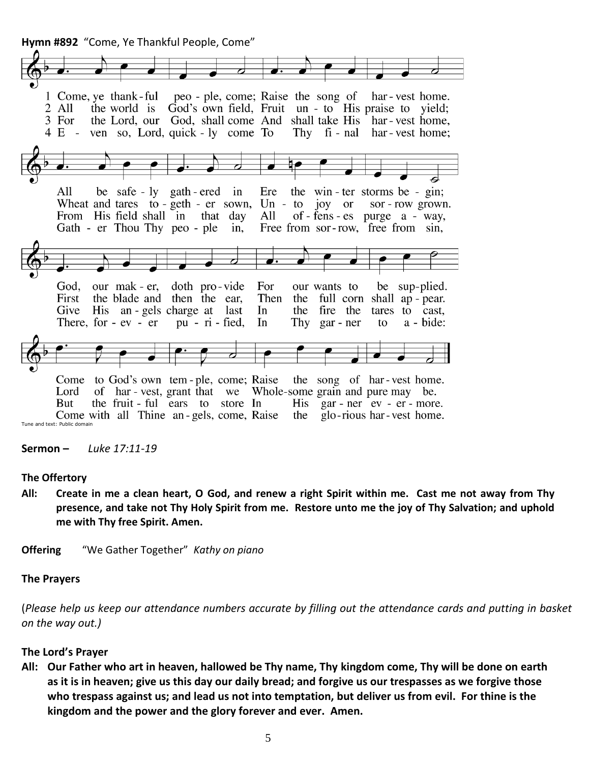**Hymn #892** "Come, Ye Thankful People, Come"



**Sermon –** *Luke 17:11-19*

### **The Offertory**

**All: Create in me a clean heart, O God, and renew a right Spirit within me. Cast me not away from Thy presence, and take not Thy Holy Spirit from me. Restore unto me the joy of Thy Salvation; and uphold me with Thy free Spirit. Amen.**

**Offering** "We Gather Together" *Kathy on piano*

### **The Prayers**

(*Please help us keep our attendance numbers accurate by filling out the attendance cards and putting in basket on the way out.)*

### **The Lord's Prayer**

**All: Our Father who art in heaven, hallowed be Thy name, Thy kingdom come, Thy will be done on earth as it is in heaven; give us this day our daily bread; and forgive us our trespasses as we forgive those who trespass against us; and lead us not into temptation, but deliver us from evil. For thine is the kingdom and the power and the glory forever and ever. Amen.**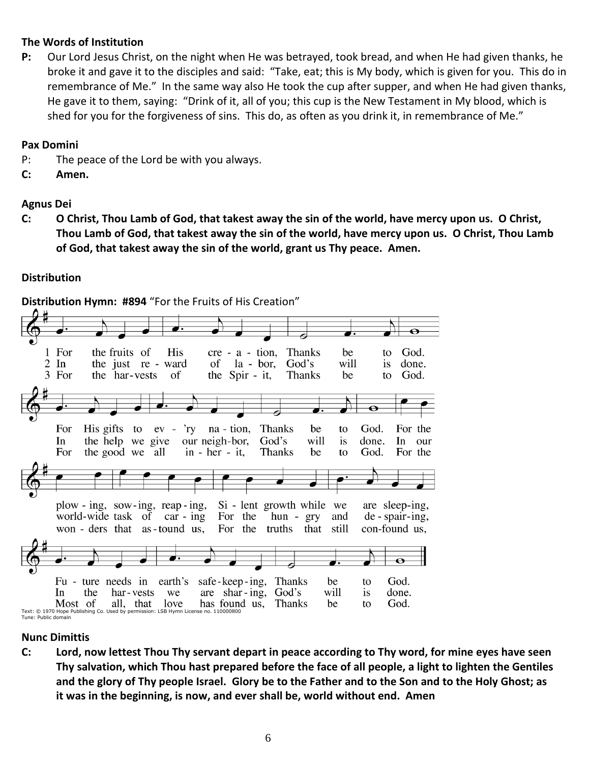## **The Words of Institution**

**P:** Our Lord Jesus Christ, on the night when He was betrayed, took bread, and when He had given thanks, he broke it and gave it to the disciples and said: "Take, eat; this is My body, which is given for you. This do in remembrance of Me." In the same way also He took the cup after supper, and when He had given thanks, He gave it to them, saying: "Drink of it, all of you; this cup is the New Testament in My blood, which is shed for you for the forgiveness of sins. This do, as often as you drink it, in remembrance of Me."

## **Pax Domini**

- P: The peace of the Lord be with you always.
- **C: Amen.**

# **Agnus Dei**

**C: O Christ, Thou Lamb of God, that takest away the sin of the world, have mercy upon us. O Christ, Thou Lamb of God, that takest away the sin of the world, have mercy upon us. O Christ, Thou Lamb of God, that takest away the sin of the world, grant us Thy peace. Amen.**

# **Distribution**



**Distribution Hymn: #894** "For the Fruits of His Creation"

# **Nunc Dimittis**

**C: Lord, now lettest Thou Thy servant depart in peace according to Thy word, for mine eyes have seen Thy salvation, which Thou hast prepared before the face of all people, a light to lighten the Gentiles and the glory of Thy people Israel. Glory be to the Father and to the Son and to the Holy Ghost; as it was in the beginning, is now, and ever shall be, world without end. Amen**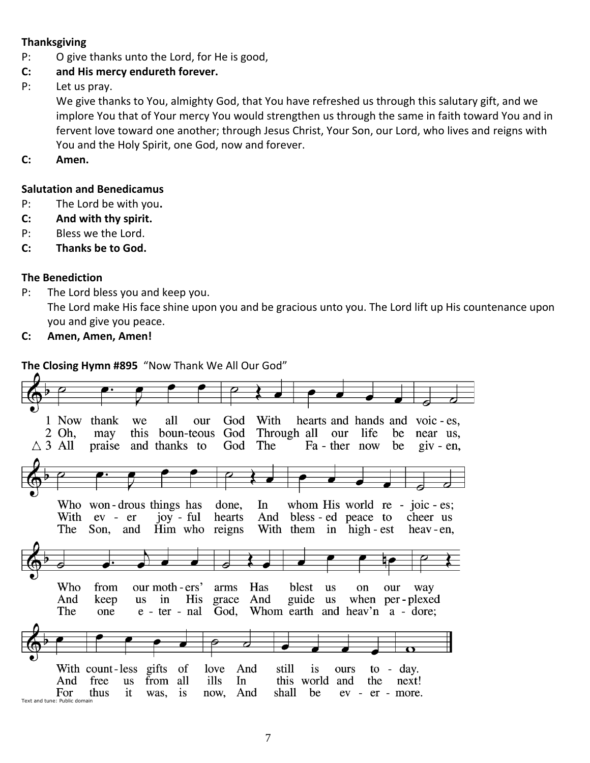## **Thanksgiving**

- P: O give thanks unto the Lord, for He is good,
- **C: and His mercy endureth forever.**
- P: Let us pray.

We give thanks to You, almighty God, that You have refreshed us through this salutary gift, and we implore You that of Your mercy You would strengthen us through the same in faith toward You and in fervent love toward one another; through Jesus Christ, Your Son, our Lord, who lives and reigns with You and the Holy Spirit, one God, now and forever.

**C: Amen.**

## **Salutation and Benedicamus**

- P: The Lord be with you**.**
- **C: And with thy spirit.**
- P: Bless we the Lord.
- **C: Thanks be to God.**

## **The Benediction**

- P: The Lord bless you and keep you. The Lord make His face shine upon you and be gracious unto you. The Lord lift up His countenance upon you and give you peace.
- **C: Amen, Amen, Amen!**

## **The Closing Hymn #895** "Now Thank We All Our God"

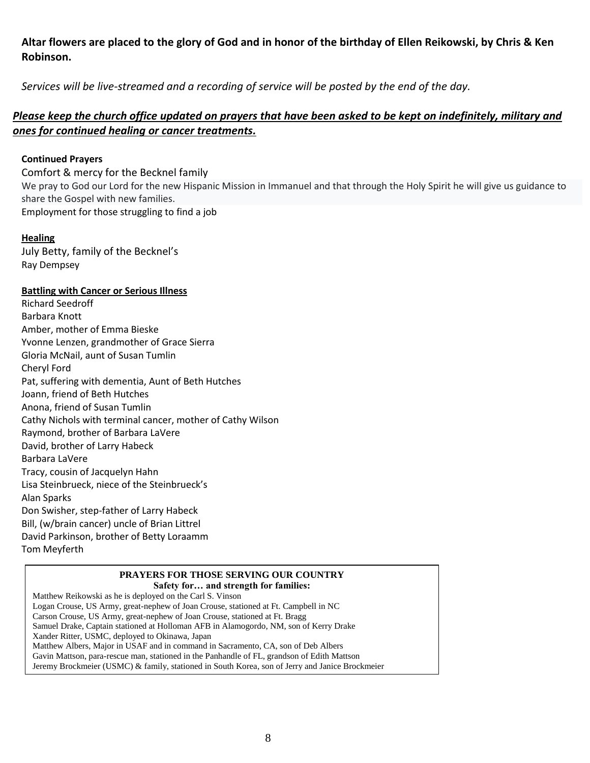# **Altar flowers are placed to the glory of God and in honor of the birthday of Ellen Reikowski, by Chris & Ken Robinson.**

*Services will be live-streamed and a recording of service will be posted by the end of the day.* 

## *Please keep the church office updated on prayers that have been asked to be kept on indefinitely, military and ones for continued healing or cancer treatments.*

## **Continued Prayers**

Comfort & mercy for the Becknel family We pray to God our Lord for the new Hispanic Mission in Immanuel and that through the Holy Spirit he will give us guidance to share the Gospel with new families. Employment for those struggling to find a job

## **Healing**

July Betty, family of the Becknel's Ray Dempsey

## **Battling with Cancer or Serious Illness**

Richard Seedroff Barbara Knott Amber, mother of Emma Bieske Yvonne Lenzen, grandmother of Grace Sierra Gloria McNail, aunt of Susan Tumlin Cheryl Ford Pat, suffering with dementia, Aunt of Beth Hutches Joann, friend of Beth Hutches Anona, friend of Susan Tumlin Cathy Nichols with terminal cancer, mother of Cathy Wilson Raymond, brother of Barbara LaVere David, brother of Larry Habeck Barbara LaVere Tracy, cousin of Jacquelyn Hahn Lisa Steinbrueck, niece of the Steinbrueck's Alan Sparks Don Swisher, step-father of Larry Habeck Bill, (w/brain cancer) uncle of Brian Littrel David Parkinson, brother of Betty Loraamm Tom Meyferth

# **PRAYERS FOR THOSE SERVING OUR COUNTRY**

**Safety for… and strength for families:** Matthew Reikowski as he is deployed on the Carl S. Vinson Logan Crouse, US Army, great-nephew of Joan Crouse, stationed at Ft. Campbell in NC Carson Crouse, US Army, great-nephew of Joan Crouse, stationed at Ft. Bragg Samuel Drake, Captain stationed at Holloman AFB in Alamogordo, NM, son of Kerry Drake Xander Ritter, USMC, deployed to Okinawa, Japan Matthew Albers, Major in USAF and in command in Sacramento, CA, son of Deb Albers Gavin Mattson, para-rescue man, stationed in the Panhandle of FL, grandson of Edith Mattson Jeremy Brockmeier (USMC) & family, stationed in South Korea, son of Jerry and Janice Brockmeier